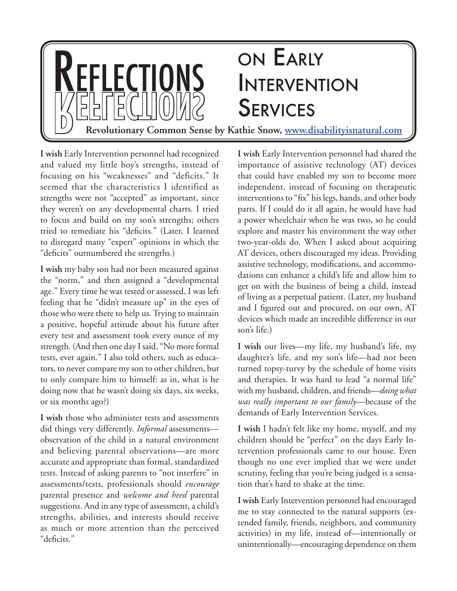

**I wish** Early Intervention personnel had recognized and valued my little boy's strengths, instead of focusing on his "weaknesses" and "deficits." It seemed that the characteristics I identified as strengths were not "accepted" as important, since they weren't on any developmental charts. I tried to focus and build on my son's strengths; others tried to remediate his "deficits." (Later, I learned to disregard many "expert" opinions in which the "deficits" outnumbered the strengths.)

**I wish** my baby son had not been measured against the "norm," and then assigned a "developmental age." Every time he was tested or assessed, I was left feeling that he "didn't measure up" in the eyes of those who were there to help us. Trying to maintain a positive, hopeful attitude about his future after every test and assessment took every ounce of my strength. (And then one day I said, "No more formal tests, ever again." I also told others, such as educators, to never compare my son to other children, but to only compare him to himself: as in, what is he doing now that he wasn't doing six days, six weeks, or six months ago?)

**I wish** those who administer tests and assessments did things very differently. *Informal* assessments observation of the child in a natural environment and believing parental observations—are more accurate and appropriate than formal, standardized tests. Instead of asking parents to "not interfere" in assessments/tests, professionals should *encourage* parental presence and *welcome and heed* parental suggestions. And in any type of assessment, a child's strengths, abilities, and interests should receive as much or more attention than the perceived "deficits."

**I wish** Early Intervention personnel had shared the importance of assistive technology (AT) devices that could have enabled my son to become more independent, instead of focusing on therapeutic interventions to "fix" his legs, hands, and other body parts. If I could do it all again, he would have had a power wheelchair when he was two, so he could explore and master his environment the way other two-year-olds do. When I asked about acquiring AT devices, others discouraged my ideas. Providing assistive technology, modifications, and accommodations can enhance a child's life and allow him to get on with the business of being a child, instead of living as a perpetual patient. (Later, my husband and I figured out and procured, on our own, AT devices which made an incredible difference in our son's life.)

**I wish** our lives—my life, my husband's life, my daughter's life, and my son's life—had not been turned topsy-turvy by the schedule of home visits and therapies. It was hard to lead "a normal life" with my husband, children, and friends—*doing what was really important to our family*—because of the demands of Early Intervention Services.

**I wish** I hadn't felt like my home, myself, and my children should be "perfect" on the days Early Intervention professionals came to our house. Even though no one ever implied that we were under scrutiny, feeling that you're being judged is a sensation that's hard to shake at the time.

**I wish** Early Intervention personnel had encouraged me to stay connected to the natural supports (extended family, friends, neighbors, and community activities) in my life, instead of—intentionally or unintentionally—encouraging dependence on them